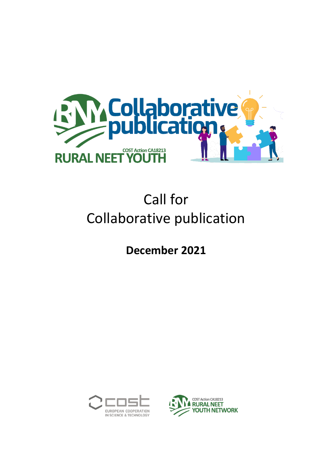

# Call for Collaborative publication

**December 2021**



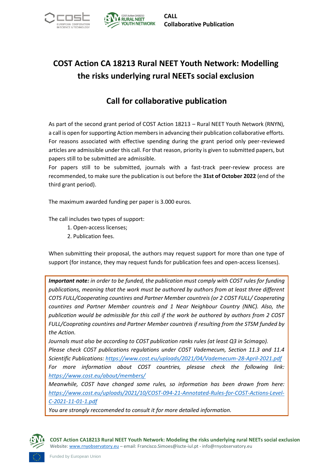

## **COST Action CA 18213 Rural NEET Youth Network: Modelling the risks underlying rural NEETs social exclusion**

### **Call for collaborative publication**

As part of the second grant period of COST Action 18213 – Rural NEET Youth Network (RNYN), a call is open for supporting Action members in advancing their publication collaborative efforts. For reasons associated with effective spending during the grant period only peer-reviewed articles are admissible under this call. For that reason, priority is given to submitted papers, but papers still to be submitted are admissible.

For papers still to be submitted, journals with a fast-track peer-review process are recommended, to make sure the publication is out before the **31st of October 2022** (end of the third grant period).

The maximum awarded funding per paper is 3.000 euros.

The call includes two types of support:

- 1. Open-access licenses;
- 2. Publication fees.

When submitting their proposal, the authors may request support for more than one type of support (for instance, they may request funds for publication fees and open-access licenses).

*Important note: in order to be funded, the publication must comply with COST rules for funding publications, meaning that the work must be authored by authors from at least three different COTS FULL/Cooperating countires and Partner Member countreis (or 2 COST FULL/ Cooperating countires and Partner Member countreis and 1 Near Neighbour Country (NNC). Also, the publication would be admissible for this call if the work be authored by authors from 2 COST FULL/Cooprating countires and Partner Member countreis if resulting from the STSM funded by the Action.*

*Journals must also be according to COST publication ranks rules (at least Q3 in Scimago). Please check COST publications regulations under COST Vademecum, Section 11.3 and 11.4 Scientific Publications:<https://www.cost.eu/uploads/2021/04/Vademecum-28-April-2021.pdf> For more information about COST countries, plesase check the following link: <https://www.cost.eu/about/members/>*

*Meanwhile, COST have changed some rules, so information has been drawn from here: [https://www.cost.eu/uploads/2021/10/COST-094-21-Annotated-Rules-for-COST-Actions-Level-](https://www.cost.eu/uploads/2021/10/COST-094-21-Annotated-Rules-for-COST-Actions-Level-C-2021-11-01-1.pdf)[C-2021-11-01-1.pdf](https://www.cost.eu/uploads/2021/10/COST-094-21-Annotated-Rules-for-COST-Actions-Level-C-2021-11-01-1.pdf)*

*You are strongly reccomended to consult it for more detailed information.*

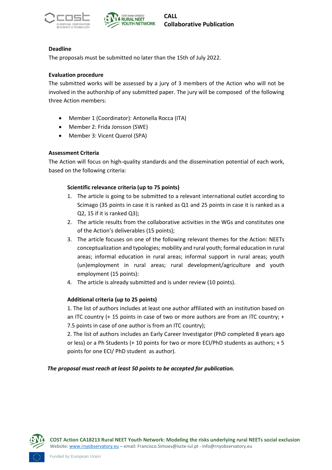



#### **Deadline**

The proposals must be submitted no later than the 15th of July 2022.

#### **Evaluation procedure**

The submitted works will be assessed by a jury of 3 members of the Action who will not be involved in the authorship of any submitted paper. The jury will be composed of the following three Action members:

- Member 1 (Coordinator): Antonella Rocca (ITA)
- Member 2: Frida Jonsson (SWE)
- Member 3: Vicent Querol (SPA)

#### **Assessment Criteria**

The Action will focus on high-quality standards and the dissemination potential of each work, based on the following criteria:

#### **Scientific relevance criteria (up to 75 points)**

- 1. The article is going to be submitted to a relevant international outlet according to Scimago (35 points in case it is ranked as Q1 and 25 points in case it is ranked as a Q2, 15 if it is ranked Q3);
- 2. The article results from the collaborative activities in the WGs and constitutes one of the Action's deliverables (15 points);
- 3. The article focuses on one of the following relevant themes for the Action: NEETs conceptualization and typologies; mobility and rural youth; formal education in rural areas; informal education in rural areas; informal support in rural areas; youth (un)employment in rural areas; rural development/agriculture and youth employment (15 points):
- 4. The article is already submitted and is under review (10 points).

#### **Additional criteria (up to 25 points)**

1. The list of authors includes at least one author affiliated with an institution based on an ITC country (+ 15 points in case of two or more authors are from an ITC country; + 7.5 points in case of one author is from an ITC country);

2. The list of authors includes an Early Career Investigator (PhD completed 8 years ago or less) or a Ph Students (+ 10 points for two or more ECI/PhD students as authors; + 5 points for one ECI/ PhD student as author).

#### *The proposal must reach at least 50 points to be accepted for publication.*